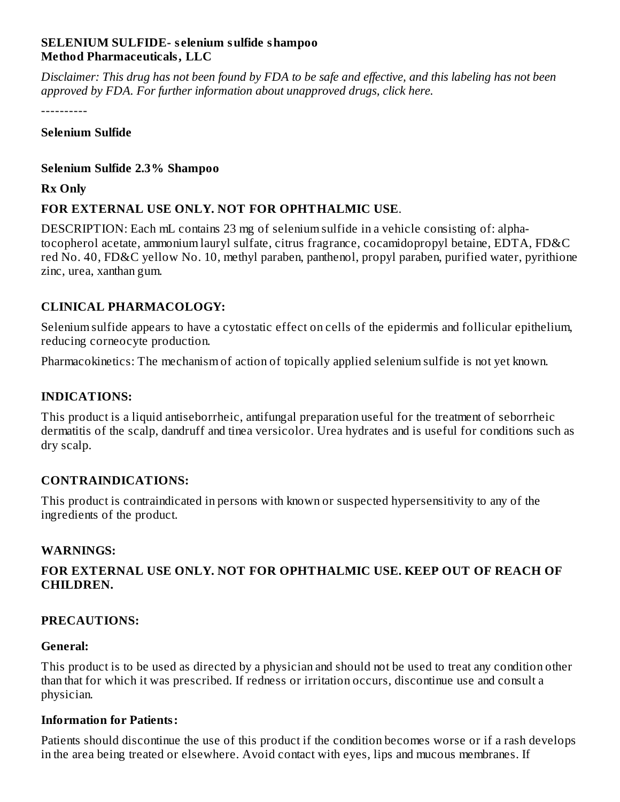#### **SELENIUM SULFIDE- s elenium sulfide shampoo Method Pharmaceuticals, LLC**

Disclaimer: This drug has not been found by FDA to be safe and effective, and this labeling has not been *approved by FDA. For further information about unapproved drugs, click here.*

----------

#### **Selenium Sulfide**

#### **Selenium Sulfide 2.3% Shampoo**

#### **Rx Only**

## **FOR EXTERNAL USE ONLY. NOT FOR OPHTHALMIC USE**.

DESCRIPTION: Each mL contains 23 mg of selenium sulfide in a vehicle consisting of: alphatocopherol acetate, ammonium lauryl sulfate, citrus fragrance, cocamidopropyl betaine, EDTA, FD&C red No. 40, FD&C yellow No. 10, methyl paraben, panthenol, propyl paraben, purified water, pyrithione zinc, urea, xanthan gum.

## **CLINICAL PHARMACOLOGY:**

Selenium sulfide appears to have a cytostatic effect on cells of the epidermis and follicular epithelium, reducing corneocyte production.

Pharmacokinetics: The mechanism of action of topically applied selenium sulfide is not yet known.

## **INDICATIONS:**

This product is a liquid antiseborrheic, antifungal preparation useful for the treatment of seborrheic dermatitis of the scalp, dandruff and tinea versicolor. Urea hydrates and is useful for conditions such as dry scalp.

## **CONTRAINDICATIONS:**

This product is contraindicated in persons with known or suspected hypersensitivity to any of the ingredients of the product.

## **WARNINGS:**

## **FOR EXTERNAL USE ONLY. NOT FOR OPHTHALMIC USE. KEEP OUT OF REACH OF CHILDREN.**

## **PRECAUTIONS:**

#### **General:**

This product is to be used as directed by a physician and should not be used to treat any condition other than that for which it was prescribed. If redness or irritation occurs, discontinue use and consult a physician.

## **Information for Patients:**

Patients should discontinue the use of this product if the condition becomes worse or if a rash develops in the area being treated or elsewhere. Avoid contact with eyes, lips and mucous membranes. If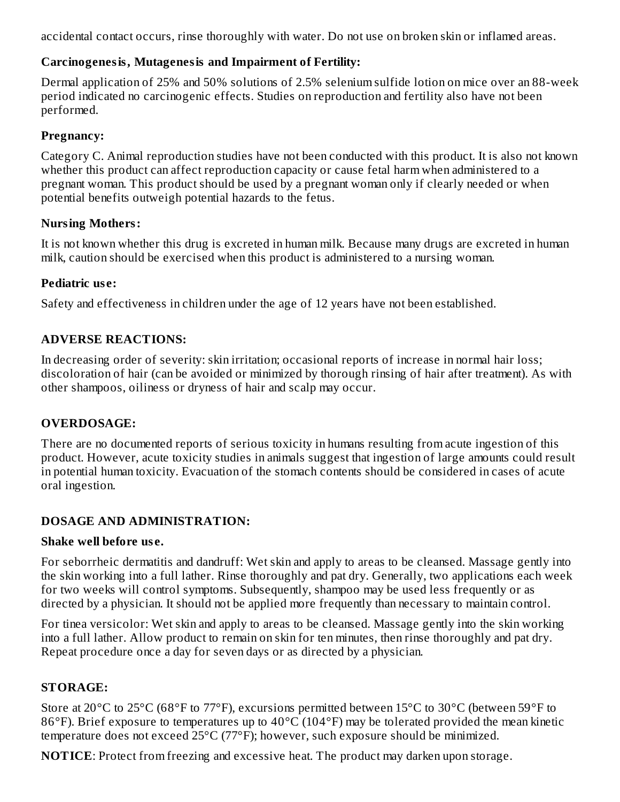accidental contact occurs, rinse thoroughly with water. Do not use on broken skin or inflamed areas.

## **Carcinogenesis, Mutagenesis and Impairment of Fertility:**

Dermal application of 25% and 50% solutions of 2.5% selenium sulfide lotion on mice over an 88-week period indicated no carcinogenic effects. Studies on reproduction and fertility also have not been performed.

## **Pregnancy:**

Category C. Animal reproduction studies have not been conducted with this product. It is also not known whether this product can affect reproduction capacity or cause fetal harm when administered to a pregnant woman. This product should be used by a pregnant woman only if clearly needed or when potential benefits outweigh potential hazards to the fetus.

## **Nursing Mothers:**

It is not known whether this drug is excreted in human milk. Because many drugs are excreted in human milk, caution should be exercised when this product is administered to a nursing woman.

## **Pediatric us e:**

Safety and effectiveness in children under the age of 12 years have not been established.

## **ADVERSE REACTIONS:**

In decreasing order of severity: skin irritation; occasional reports of increase in normal hair loss; discoloration of hair (can be avoided or minimized by thorough rinsing of hair after treatment). As with other shampoos, oiliness or dryness of hair and scalp may occur.

## **OVERDOSAGE:**

There are no documented reports of serious toxicity in humans resulting from acute ingestion of this product. However, acute toxicity studies in animals suggest that ingestion of large amounts could result in potential human toxicity. Evacuation of the stomach contents should be considered in cases of acute oral ingestion.

## **DOSAGE AND ADMINISTRATION:**

## **Shake well before us e.**

For seborrheic dermatitis and dandruff: Wet skin and apply to areas to be cleansed. Massage gently into the skin working into a full lather. Rinse thoroughly and pat dry. Generally, two applications each week for two weeks will control symptoms. Subsequently, shampoo may be used less frequently or as directed by a physician. It should not be applied more frequently than necessary to maintain control.

For tinea versicolor: Wet skin and apply to areas to be cleansed. Massage gently into the skin working into a full lather. Allow product to remain on skin for ten minutes, then rinse thoroughly and pat dry. Repeat procedure once a day for seven days or as directed by a physician.

# **STORAGE:**

Store at 20°C to 25°C (68°F to 77°F), excursions permitted between 15°C to 30°C (between 59°F to 86°F). Brief exposure to temperatures up to 40°C (104°F) may be tolerated provided the mean kinetic temperature does not exceed 25°C (77°F); however, such exposure should be minimized.

**NOTICE**: Protect from freezing and excessive heat. The product may darken upon storage.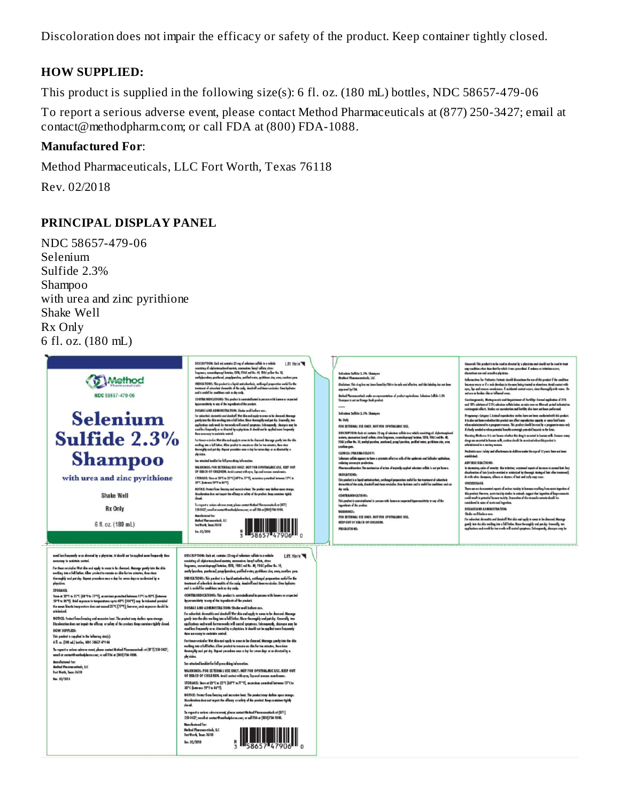Discoloration does not impair the efficacy or safety of the product. Keep container tightly closed.

#### **HOW SUPPLIED:**

This product is supplied in the following size(s): 6 fl. oz. (180 mL) bottles, NDC 58657-479-06

To report a serious adverse event, please contact Method Pharmaceuticals at (877) 250-3427; email at contact@methodpharm.com; or call FDA at (800) FDA-1088.

#### **Manufactured For**:

Method Pharmaceuticals, LLC Fort Worth, Texas 76118

Rev. 02/2018

#### **PRINCIPAL DISPLAY PANEL**

NDC 58657-479-06 Selenium Sulfide 2.3% Shampoo with urea and zinc pyrithione Shake Well Rx Only 6 fl. oz. (180 mL)